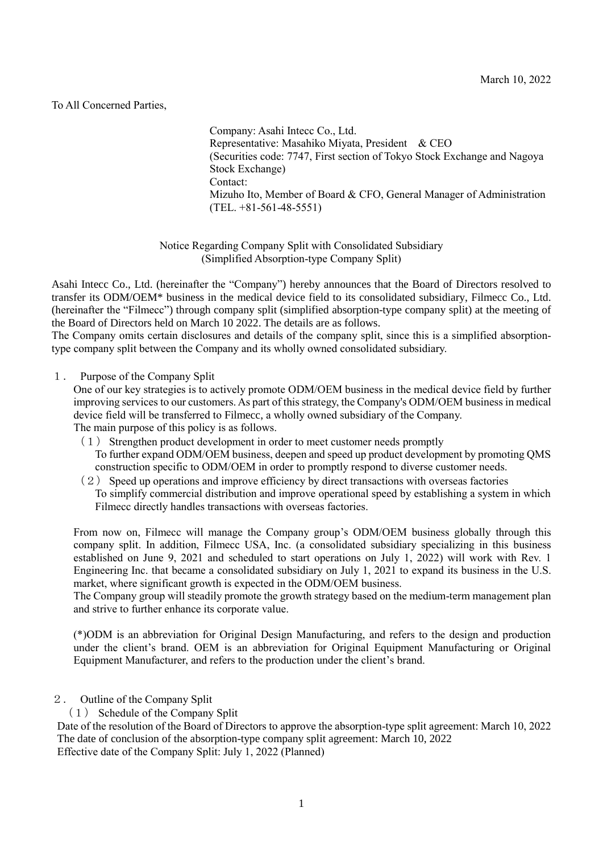## To All Concerned Parties,

Company: Asahi Intecc Co., Ltd. Representative: Masahiko Miyata, President & CEO (Securities code: 7747, First section of Tokyo Stock Exchange and Nagoya Stock Exchange) Contact: Mizuho Ito, Member of Board & CFO, General Manager of Administration  $(TEL. +81-561-48-5551)$ 

Notice Regarding Company Split with Consolidated Subsidiary (Simplified Absorption-type Company Split)

Asahi Intecc Co., Ltd. (hereinafter the "Company") hereby announces that the Board of Directors resolved to transfer its ODM/OEM\* business in the medical device field to its consolidated subsidiary, Filmecc Co., Ltd. (hereinafter the "Filmecc") through company split (simplified absorption-type company split) at the meeting of the Board of Directors held on March 10 2022. The details are as follows.

The Company omits certain disclosures and details of the company split, since this is a simplified absorptiontype company split between the Company and its wholly owned consolidated subsidiary.

## 1. Purpose of the Company Split

One of our key strategies is to actively promote ODM/OEM business in the medical device field by further improving services to our customers. As part of this strategy, the Company's ODM/OEM business in medical device field will be transferred to Filmecc, a wholly owned subsidiary of the Company. The main purpose of this policy is as follows.

- $(1)$  Strengthen product development in order to meet customer needs promptly To further expand ODM/OEM business, deepen and speed up product development by promoting QMS construction specific to ODM/OEM in order to promptly respond to diverse customer needs.
- $(2)$  Speed up operations and improve efficiency by direct transactions with overseas factories To simplify commercial distribution and improve operational speed by establishing a system in which Filmecc directly handles transactions with overseas factories.

From now on, Filmecc will manage the Company group's ODM/OEM business globally through this company split. In addition, Filmecc USA, Inc. (a consolidated subsidiary specializing in this business established on June 9, 2021 and scheduled to start operations on July 1, 2022) will work with Rev. 1 Engineering Inc. that became a consolidated subsidiary on July 1, 2021 to expand its business in the U.S. market, where significant growth is expected in the ODM/OEM business.

The Company group will steadily promote the growth strategy based on the medium-term management plan and strive to further enhance its corporate value.

(\*)ODM is an abbreviation for Original Design Manufacturing, and refers to the design and production under the client's brand. OEM is an abbreviation for Original Equipment Manufacturing or Original Equipment Manufacturer, and refers to the production under the client's brand.

- 2. Outline of the Company Split
	- (1) Schedule of the Company Split

Date of the resolution of the Board of Directors to approve the absorption-type split agreement: March 10, 2022 The date of conclusion of the absorption-type company split agreement: March 10, 2022 Effective date of the Company Split: July 1, 2022 (Planned)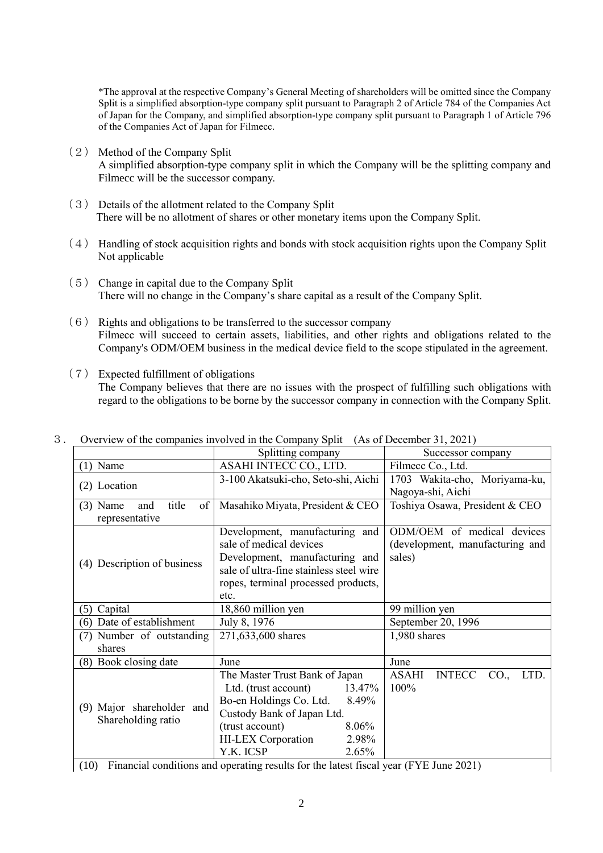\*The approval at the respective Company's General Meeting of shareholders will be omitted since the Company Split is a simplified absorption-type company split pursuant to Paragraph 2 of Article 784 of the Companies Act of Japan for the Company, and simplified absorption-type company split pursuant to Paragraph 1 of Article 796 of the Companies Act of Japan for Filmecc.

- (2) Method of the Company Split A simplified absorption-type company split in which the Company will be the splitting company and Filmecc will be the successor company.
- (3) Details of the allotment related to the Company Split There will be no allotment of shares or other monetary items upon the Company Split.
- (4) Handling of stock acquisition rights and bonds with stock acquisition rights upon the Company Split Not applicable
- (5) Change in capital due to the Company Split There will no change in the Company's share capital as a result of the Company Split.
- (6) Rights and obligations to be transferred to the successor company Filmecc will succeed to certain assets, liabilities, and other rights and obligations related to the Company's ODM/OEM business in the medical device field to the scope stipulated in the agreement.
- (7) Expected fulfillment of obligations The Company believes that there are no issues with the prospect of fulfilling such obligations with regard to the obligations to be borne by the successor company in connection with the Company Split.

|                                                      | $\alpha$ , where $\alpha$ is the companies inversed in the company spin $\alpha$ | $(110 \text{ or } 200 \text{ times})$ |  |  |  |
|------------------------------------------------------|----------------------------------------------------------------------------------|---------------------------------------|--|--|--|
|                                                      | Splitting company                                                                | Successor company                     |  |  |  |
| $(1)$ Name                                           | ASAHI INTECC CO., LTD.                                                           | Filmecc Co., Ltd.                     |  |  |  |
|                                                      | 1703 Wakita-cho, Moriyama-ku,<br>3-100 Akatsuki-cho, Seto-shi, Aichi             |                                       |  |  |  |
| (2) Location                                         |                                                                                  | Nagoya-shi, Aichi                     |  |  |  |
| title<br>$(3)$ Name<br>of  <br>and<br>representative | Toshiya Osawa, President & CEO<br>Masahiko Miyata, President & CEO               |                                       |  |  |  |
|                                                      | Development, manufacturing and                                                   | ODM/OEM of medical devices            |  |  |  |
|                                                      | sale of medical devices                                                          | (development, manufacturing and       |  |  |  |
| (4) Description of business                          | Development, manufacturing and                                                   | sales)                                |  |  |  |
|                                                      | sale of ultra-fine stainless steel wire                                          |                                       |  |  |  |
|                                                      | ropes, terminal processed products,                                              |                                       |  |  |  |
|                                                      | etc.                                                                             |                                       |  |  |  |
| (5) Capital                                          | 18,860 million yen                                                               | 99 million yen                        |  |  |  |
| (6) Date of establishment                            | July 8, 1976                                                                     | September 20, 1996                    |  |  |  |
| (7) Number of outstanding                            | 271,633,600 shares                                                               | 1,980 shares                          |  |  |  |
| shares                                               |                                                                                  |                                       |  |  |  |
| (8) Book closing date                                | June                                                                             | June                                  |  |  |  |
| (9) Major shareholder and<br>Shareholding ratio      | The Master Trust Bank of Japan                                                   | INTECC CO.,<br>ASAHI<br>LTD.          |  |  |  |
|                                                      | Ltd. (trust account) $13.47\%$                                                   | 100%                                  |  |  |  |
|                                                      | Bo-en Holdings Co. Ltd.<br>8.49%                                                 |                                       |  |  |  |
|                                                      | Custody Bank of Japan Ltd.                                                       |                                       |  |  |  |
|                                                      | 8.06%<br>(trust account)                                                         |                                       |  |  |  |
|                                                      | HI-LEX Corporation<br>2.98%                                                      |                                       |  |  |  |
|                                                      | Y.K. ICSP<br>2.65%                                                               |                                       |  |  |  |

3. Overview of the companies involved in the Company Split (As of December 31, 2021)

(10) Financial conditions and operating results for the latest fiscal year (FYE June 2021)